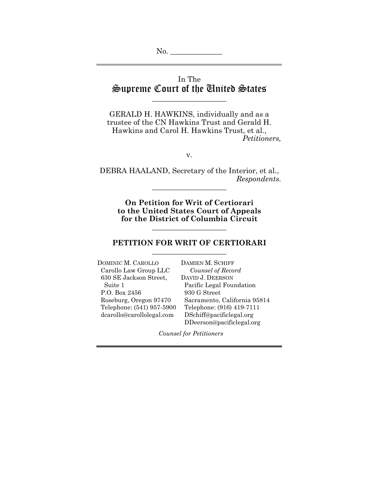# In The Supreme Court of the United States

\_\_\_\_\_\_\_\_\_\_\_\_\_\_\_\_\_\_\_\_

GERALD H. HAWKINS, individually and as a trustee of the CN Hawkins Trust and Gerald H. Hawkins and Carol H. Hawkins Trust, et al., *Petitioners,* 

v.

DEBRA HAALAND, Secretary of the Interior, et al., *Respondents.*  \_\_\_\_\_\_\_\_\_\_\_\_\_\_\_\_\_\_\_\_

**On Petition for Writ of Certiorari to the United States Court of Appeals for the District of Columbia Circuit**

### **PETITION FOR WRIT OF CERTIORARI**  \_\_\_\_\_\_\_\_\_\_\_\_\_\_\_\_\_\_\_\_

\_\_\_\_\_\_\_\_\_\_\_\_\_\_\_\_\_\_\_\_

DOMINIC M. CAROLLO DAMIEN M. SCHIFF Carollo Law Group LLC *Counsel of Record*  630 SE Jackson Street, DAVID J. DEERSON P.O. Box 2456 930 G Street dcarollo@carollolegal.com DSchiff@pacificlegal.org

Suite 1 Pacific Legal Foundation Roseburg, Oregon 97470 Sacramento, California 95814 Telephone: (541) 957-5900 Telephone: (916) 419-7111 DDeerson@pacificlegal.org

*Counsel for Petitioners*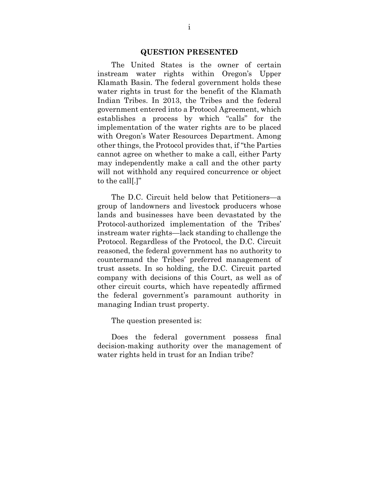#### **QUESTION PRESENTED**

The United States is the owner of certain instream water rights within Oregon's Upper Klamath Basin. The federal government holds these water rights in trust for the benefit of the Klamath Indian Tribes. In 2013, the Tribes and the federal government entered into a Protocol Agreement, which establishes a process by which "calls" for the implementation of the water rights are to be placed with Oregon's Water Resources Department. Among other things, the Protocol provides that, if "the Parties cannot agree on whether to make a call, either Party may independently make a call and the other party will not withhold any required concurrence or object to the call[.]"

The D.C. Circuit held below that Petitioners—a group of landowners and livestock producers whose lands and businesses have been devastated by the Protocol-authorized implementation of the Tribes' instream water rights—lack standing to challenge the Protocol. Regardless of the Protocol, the D.C. Circuit reasoned, the federal government has no authority to countermand the Tribes' preferred management of trust assets. In so holding, the D.C. Circuit parted company with decisions of this Court, as well as of other circuit courts, which have repeatedly affirmed the federal government's paramount authority in managing Indian trust property.

The question presented is:

Does the federal government possess final decision-making authority over the management of water rights held in trust for an Indian tribe?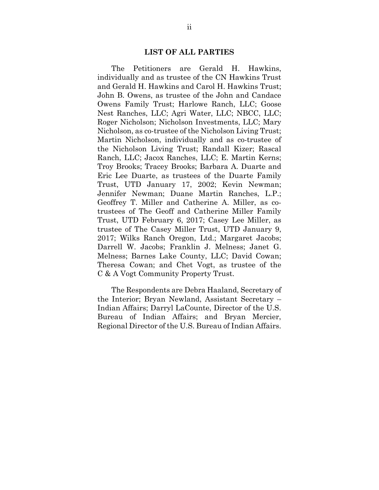#### **LIST OF ALL PARTIES**

 The Petitioners are Gerald H. Hawkins, individually and as trustee of the CN Hawkins Trust and Gerald H. Hawkins and Carol H. Hawkins Trust; John B. Owens, as trustee of the John and Candace Owens Family Trust; Harlowe Ranch, LLC; Goose Nest Ranches, LLC; Agri Water, LLC; NBCC, LLC; Roger Nicholson; Nicholson Investments, LLC; Mary Nicholson, as co-trustee of the Nicholson Living Trust; Martin Nicholson, individually and as co-trustee of the Nicholson Living Trust; Randall Kizer; Rascal Ranch, LLC; Jacox Ranches, LLC; E. Martin Kerns; Troy Brooks; Tracey Brooks; Barbara A. Duarte and Eric Lee Duarte, as trustees of the Duarte Family Trust, UTD January 17, 2002; Kevin Newman; Jennifer Newman; Duane Martin Ranches, L.P.; Geoffrey T. Miller and Catherine A. Miller, as cotrustees of The Geoff and Catherine Miller Family Trust, UTD February 6, 2017; Casey Lee Miller, as trustee of The Casey Miller Trust, UTD January 9, 2017; Wilks Ranch Oregon, Ltd.; Margaret Jacobs; Darrell W. Jacobs; Franklin J. Melness; Janet G. Melness; Barnes Lake County, LLC; David Cowan; Theresa Cowan; and Chet Vogt, as trustee of the C & A Vogt Community Property Trust.

 The Respondents are Debra Haaland, Secretary of the Interior; Bryan Newland, Assistant Secretary – Indian Affairs; Darryl LaCounte, Director of the U.S. Bureau of Indian Affairs; and Bryan Mercier, Regional Director of the U.S. Bureau of Indian Affairs.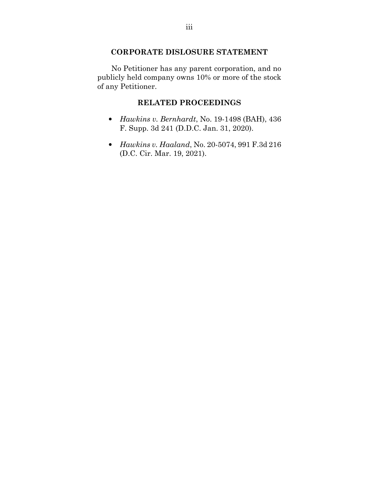# **CORPORATE DISLOSURE STATEMENT**

 No Petitioner has any parent corporation, and no publicly held company owns 10% or more of the stock of any Petitioner.

## **RELATED PROCEEDINGS**

- *Hawkins v. Bernhardt*, No. 19-1498 (BAH), 436 F. Supp. 3d 241 (D.D.C. Jan. 31, 2020).
- *Hawkins v. Haaland*, No. 20-5074, 991 F.3d 216 (D.C. Cir. Mar. 19, 2021).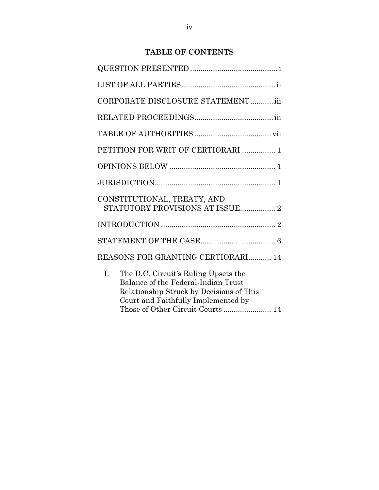# **TABLE OF CONTENTS**

| CORPORATE DISCLOSURE STATEMENT iii                                                                                                                                                                       |
|----------------------------------------------------------------------------------------------------------------------------------------------------------------------------------------------------------|
|                                                                                                                                                                                                          |
|                                                                                                                                                                                                          |
| PETITION FOR WRIT OF CERTIORARI  1                                                                                                                                                                       |
|                                                                                                                                                                                                          |
|                                                                                                                                                                                                          |
| CONSTITUTIONAL, TREATY, AND<br>STATUTORY PROVISIONS AT ISSUE 2                                                                                                                                           |
|                                                                                                                                                                                                          |
|                                                                                                                                                                                                          |
| REASONS FOR GRANTING CERTIORARI 14                                                                                                                                                                       |
| L.<br>The D.C. Circuit's Ruling Upsets the<br>Balance of the Federal-Indian Trust<br>Relationship Struck by Decisions of This<br>Court and Faithfully Implemented by<br>Those of Other Circuit Courts 14 |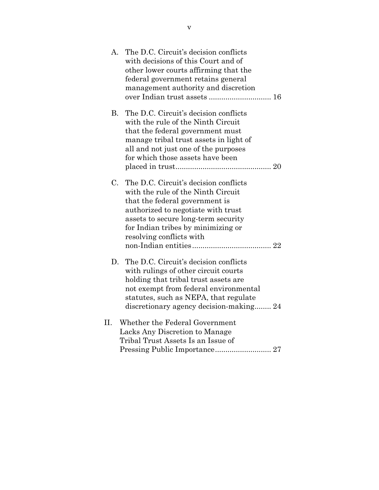| A.        | The D.C. Circuit's decision conflicts<br>with decisions of this Court and of<br>other lower courts affirming that the<br>federal government retains general<br>management authority and discretion<br>over Indian trust assets  16                           |
|-----------|--------------------------------------------------------------------------------------------------------------------------------------------------------------------------------------------------------------------------------------------------------------|
| <b>B.</b> | The D.C. Circuit's decision conflicts<br>with the rule of the Ninth Circuit<br>that the federal government must<br>manage tribal trust assets in light of<br>all and not just one of the purposes<br>for which those assets have been                        |
| C.        | The D.C. Circuit's decision conflicts<br>with the rule of the Ninth Circuit<br>that the federal government is<br>authorized to negotiate with trust<br>assets to secure long-term security<br>for Indian tribes by minimizing or<br>resolving conflicts with |
|           | D. The D.C. Circuit's decision conflicts<br>with rulings of other circuit courts<br>holding that tribal trust assets are<br>not exempt from federal environmental<br>statutes, such as NEPA, that regulate<br>discretionary agency decision-making 24        |
| II.       | Whether the Federal Government<br>Lacks Any Discretion to Manage<br>Tribal Trust Assets Is an Issue of<br>Pressing Public Importance 27                                                                                                                      |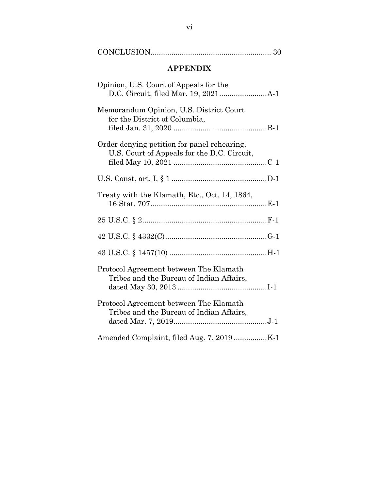| <b>APPENDIX</b>                                                                            |  |  |  |
|--------------------------------------------------------------------------------------------|--|--|--|
| Opinion, U.S. Court of Appeals for the                                                     |  |  |  |
| Memorandum Opinion, U.S. District Court<br>for the District of Columbia,                   |  |  |  |
| Order denying petition for panel rehearing,<br>U.S. Court of Appeals for the D.C. Circuit, |  |  |  |
|                                                                                            |  |  |  |
| Treaty with the Klamath, Etc., Oct. 14, 1864,                                              |  |  |  |
|                                                                                            |  |  |  |
|                                                                                            |  |  |  |
|                                                                                            |  |  |  |
| Protocol Agreement between The Klamath<br>Tribes and the Bureau of Indian Affairs,         |  |  |  |
| Protocol Agreement between The Klamath<br>Tribes and the Bureau of Indian Affairs,         |  |  |  |
|                                                                                            |  |  |  |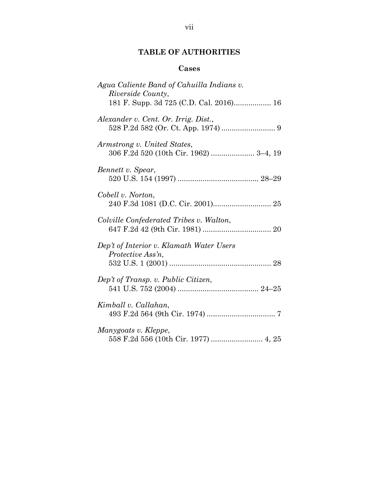# **TABLE OF AUTHORITIES**

## **Cases**

| Agua Caliente Band of Cahuilla Indians v.<br><i>Riverside County,</i><br>181 F. Supp. 3d 725 (C.D. Cal. 2016) 16 |
|------------------------------------------------------------------------------------------------------------------|
| Alexander v. Cent. Or. Irrig. Dist.,                                                                             |
| Armstrong v. United States,<br>306 F.2d 520 (10th Cir. 1962)  3-4, 19                                            |
| Bennett v. Spear,                                                                                                |
| Cobell v. Norton,                                                                                                |
| Colville Confederated Tribes v. Walton,                                                                          |
| Dep't of Interior v. Klamath Water Users<br>Protective Ass'n,                                                    |
| Dep't of Transp. v. Public Citizen,                                                                              |
| Kimball v. Callahan,                                                                                             |
| Manygoats v. Kleppe,                                                                                             |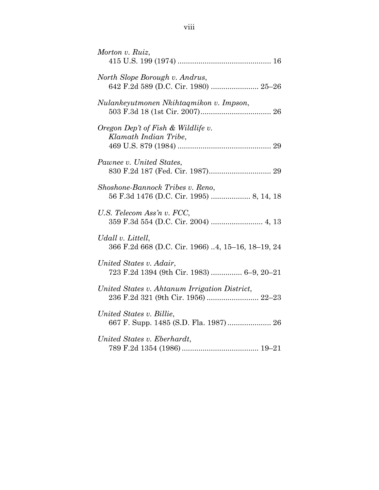| Morton v. Ruiz,                                                                      |
|--------------------------------------------------------------------------------------|
| North Slope Borough v. Andrus,<br>642 F.2d 589 (D.C. Cir. 1980)  25-26               |
| Nulankeyutmonen Nkihtaqmikon v. Impson,                                              |
| Oregon Dep't of Fish & Wildlife v.<br>Klamath Indian Tribe,                          |
| Pawnee v. United States,                                                             |
| Shoshone-Bannock Tribes v. Reno,                                                     |
| U.S. Telecom Ass'n v. FCC,<br>359 F.3d 554 (D.C. Cir. 2004)  4, 13                   |
| Udall v. Littell,<br>366 F.2d 668 (D.C. Cir. 1966) 4, 15-16, 18-19, 24               |
| United States v. Adair,<br>723 F.2d 1394 (9th Cir. 1983)  6-9, 20-21                 |
| United States v. Ahtanum Irrigation District,<br>236 F.2d 321 (9th Cir. 1956)  22-23 |
| United States v. Billie,                                                             |
| United States v. Eberhardt,                                                          |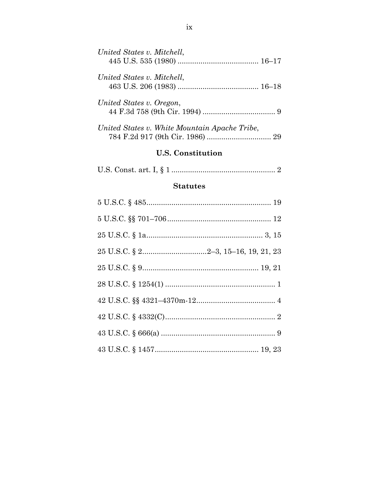| <b>U.S. Constitution</b>                      |
|-----------------------------------------------|
| United States v. White Mountain Apache Tribe, |
| United States v. Oregon,                      |
| United States v. Mitchell,                    |
| United States v. Mitchell,                    |

|--|--|--|--|--|--|--|

# **Statutes**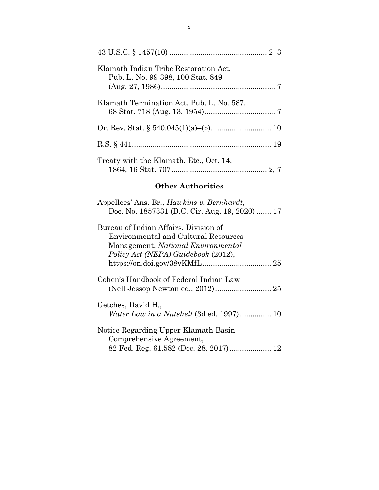| Klamath Indian Tribe Restoration Act,<br>Pub. L. No. 99-398, 100 Stat. 849 |
|----------------------------------------------------------------------------|
| Klamath Termination Act, Pub. L. No. 587,                                  |
|                                                                            |
|                                                                            |
| Treaty with the Klamath, Etc., Oct. 14,                                    |

# **Other Authorities**

| Appellees' Ans. Br., <i>Hawkins v. Bernhardt</i> ,                                                                         |
|----------------------------------------------------------------------------------------------------------------------------|
| Doc. No. 1857331 (D.C. Cir. Aug. 19, 2020)  17                                                                             |
| Bureau of Indian Affairs, Division of<br><b>Environmental and Cultural Resources</b><br>Management, National Environmental |
| Policy Act (NEPA) Guidebook (2012),                                                                                        |
| Cohen's Handbook of Federal Indian Law                                                                                     |
| Getches, David H.,<br><i>Water Law in a Nutshell</i> (3d ed. 1997) 10                                                      |
| Notice Regarding Upper Klamath Basin<br>Comprehensive Agreement,<br>12                                                     |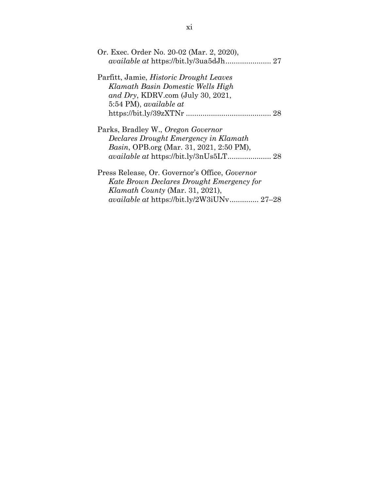| Or. Exec. Order No. 20-02 (Mar. 2, 2020),        |
|--------------------------------------------------|
|                                                  |
| Parfitt, Jamie, <i>Historic Drought Leaves</i>   |
| Klamath Basin Domestic Wells High                |
| and Dry, KDRV.com (July 30, 2021,                |
| 5:54 PM), available at                           |
|                                                  |
| Parks, Bradley W., Oregon Governor               |
| Declares Drought Emergency in Klamath            |
| <i>Basin</i> , OPB.org (Mar. 31, 2021, 2:50 PM), |
|                                                  |
| Press Release, Or. Governor's Office, Governor   |
| Kate Brown Declares Drought Emergency for        |
| Klamath County (Mar. 31, 2021),                  |
| <i>available at https://bit.ly/2W3iUNv 27–28</i> |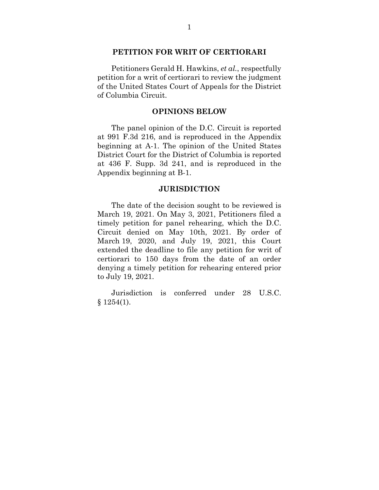#### **PETITION FOR WRIT OF CERTIORARI**

 Petitioners Gerald H. Hawkins, *et al.*, respectfully petition for a writ of certiorari to review the judgment of the United States Court of Appeals for the District of Columbia Circuit.

#### **OPINIONS BELOW**

 The panel opinion of the D.C. Circuit is reported at 991 F.3d 216, and is reproduced in the Appendix beginning at A-1. The opinion of the United States District Court for the District of Columbia is reported at 436 F. Supp. 3d 241, and is reproduced in the Appendix beginning at B-1.

#### **JURISDICTION**

 The date of the decision sought to be reviewed is March 19, 2021. On May 3, 2021, Petitioners filed a timely petition for panel rehearing, which the D.C. Circuit denied on May 10th, 2021. By order of March 19, 2020, and July 19, 2021, this Court extended the deadline to file any petition for writ of certiorari to 150 days from the date of an order denying a timely petition for rehearing entered prior to July 19, 2021.

 Jurisdiction is conferred under 28 U.S.C.  $§ 1254(1).$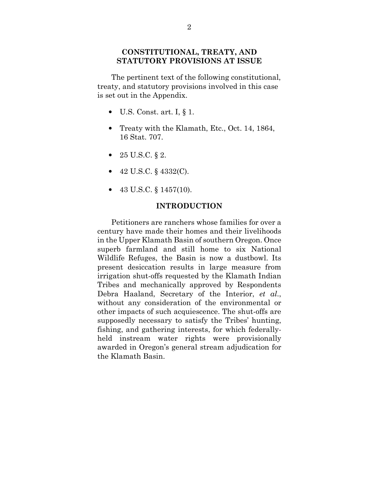### **CONSTITUTIONAL, TREATY, AND STATUTORY PROVISIONS AT ISSUE**

 The pertinent text of the following constitutional, treaty, and statutory provisions involved in this case is set out in the Appendix.

- U.S. Const. art. I,  $\S$  1.
- Treaty with the Klamath, Etc., Oct. 14, 1864, 16 Stat. 707.
- 25 U.S.C.  $§ 2$ .
- 42 U.S.C. § 4332(C).
- 43 U.S.C.  $\S 1457(10)$ .

#### **INTRODUCTION**

 Petitioners are ranchers whose families for over a century have made their homes and their livelihoods in the Upper Klamath Basin of southern Oregon. Once superb farmland and still home to six National Wildlife Refuges, the Basin is now a dustbowl. Its present desiccation results in large measure from irrigation shut-offs requested by the Klamath Indian Tribes and mechanically approved by Respondents Debra Haaland, Secretary of the Interior, *et al*., without any consideration of the environmental or other impacts of such acquiescence. The shut-offs are supposedly necessary to satisfy the Tribes' hunting, fishing, and gathering interests, for which federallyheld instream water rights were provisionally awarded in Oregon's general stream adjudication for the Klamath Basin.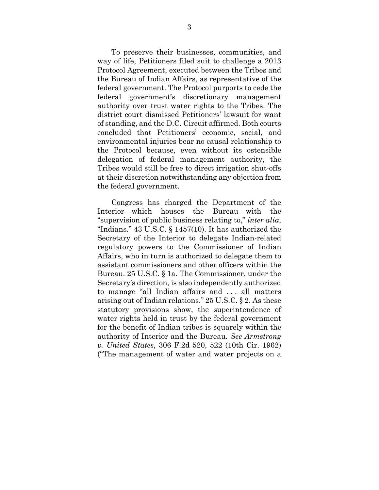To preserve their businesses, communities, and way of life, Petitioners filed suit to challenge a 2013 Protocol Agreement, executed between the Tribes and the Bureau of Indian Affairs, as representative of the federal government. The Protocol purports to cede the federal government's discretionary management authority over trust water rights to the Tribes. The district court dismissed Petitioners' lawsuit for want of standing, and the D.C. Circuit affirmed. Both courts concluded that Petitioners' economic, social, and environmental injuries bear no causal relationship to the Protocol because, even without its ostensible delegation of federal management authority, the Tribes would still be free to direct irrigation shut-offs at their discretion notwithstanding any objection from the federal government.

 Congress has charged the Department of the Interior—which houses the Bureau—with the "supervision of public business relating to," *inter alia*, "Indians." 43 U.S.C. § 1457(10). It has authorized the Secretary of the Interior to delegate Indian-related regulatory powers to the Commissioner of Indian Affairs, who in turn is authorized to delegate them to assistant commissioners and other officers within the Bureau. 25 U.S.C. § 1a. The Commissioner, under the Secretary's direction, is also independently authorized to manage "all Indian affairs and . . . all matters arising out of Indian relations." 25 U.S.C. § 2. As these statutory provisions show, the superintendence of water rights held in trust by the federal government for the benefit of Indian tribes is squarely within the authority of Interior and the Bureau. *See Armstrong v. United States*, 306 F.2d 520, 522 (10th Cir. 1962) ("The management of water and water projects on a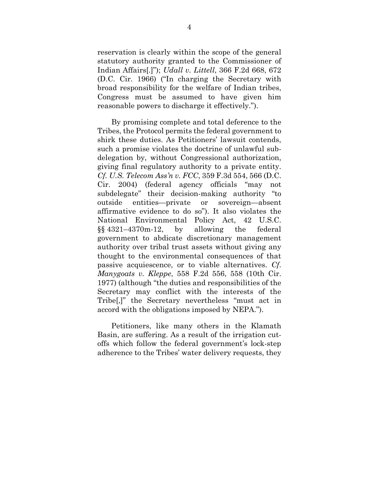reservation is clearly within the scope of the general statutory authority granted to the Commissioner of Indian Affairs[.]"); *Udall v. Littell*, 366 F.2d 668, 672 (D.C. Cir. 1966) ("In charging the Secretary with broad responsibility for the welfare of Indian tribes, Congress must be assumed to have given him reasonable powers to discharge it effectively.").

 By promising complete and total deference to the Tribes, the Protocol permits the federal government to shirk these duties. As Petitioners' lawsuit contends, such a promise violates the doctrine of unlawful subdelegation by, without Congressional authorization, giving final regulatory authority to a private entity. *Cf. U.S. Telecom Ass'n v. FCC*, 359 F.3d 554, 566 (D.C. Cir. 2004) (federal agency officials "may not subdelegate" their decision-making authority "to outside entities—private or sovereign—absent affirmative evidence to do so"). It also violates the National Environmental Policy Act, 42 U.S.C. §§ 4321–4370m-12, by allowing the federal government to abdicate discretionary management authority over tribal trust assets without giving any thought to the environmental consequences of that passive acquiescence, or to viable alternatives. *Cf*. *Manygoats v. Kleppe*, 558 F.2d 556, 558 (10th Cir. 1977) (although "the duties and responsibilities of the Secretary may conflict with the interests of the Tribe[,]" the Secretary nevertheless "must act in accord with the obligations imposed by NEPA.").

 Petitioners, like many others in the Klamath Basin, are suffering. As a result of the irrigation cutoffs which follow the federal government's lock-step adherence to the Tribes' water delivery requests, they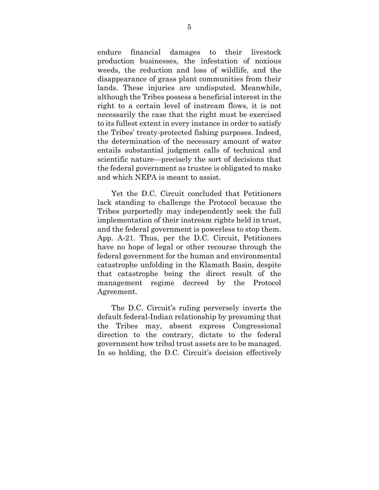endure financial damages to their livestock production businesses, the infestation of noxious weeds, the reduction and loss of wildlife, and the disappearance of grass plant communities from their lands. These injuries are undisputed. Meanwhile, although the Tribes possess a beneficial interest in the right to a certain level of instream flows, it is not necessarily the case that the right must be exercised to its fullest extent in every instance in order to satisfy the Tribes' treaty-protected fishing purposes. Indeed, the determination of the necessary amount of water entails substantial judgment calls of technical and scientific nature—precisely the sort of decisions that the federal government as trustee is obligated to make and which NEPA is meant to assist.

 Yet the D.C. Circuit concluded that Petitioners lack standing to challenge the Protocol because the Tribes purportedly may independently seek the full implementation of their instream rights held in trust, and the federal government is powerless to stop them. App. A-21. Thus, per the D.C. Circuit, Petitioners have no hope of legal or other recourse through the federal government for the human and environmental catastrophe unfolding in the Klamath Basin, despite that catastrophe being the direct result of the management regime decreed by the Protocol Agreement.

 The D.C. Circuit's ruling perversely inverts the default federal-Indian relationship by presuming that the Tribes may, absent express Congressional direction to the contrary, dictate to the federal government how tribal trust assets are to be managed. In so holding, the D.C. Circuit's decision effectively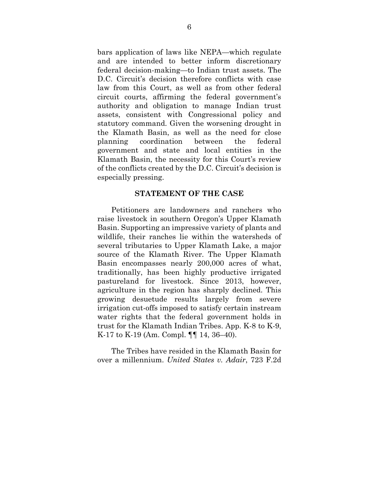bars application of laws like NEPA—which regulate and are intended to better inform discretionary federal decision-making—to Indian trust assets. The D.C. Circuit's decision therefore conflicts with case law from this Court, as well as from other federal circuit courts, affirming the federal government's authority and obligation to manage Indian trust assets, consistent with Congressional policy and statutory command. Given the worsening drought in the Klamath Basin, as well as the need for close planning coordination between the federal government and state and local entities in the Klamath Basin, the necessity for this Court's review of the conflicts created by the D.C. Circuit's decision is especially pressing.

#### **STATEMENT OF THE CASE**

 Petitioners are landowners and ranchers who raise livestock in southern Oregon's Upper Klamath Basin. Supporting an impressive variety of plants and wildlife, their ranches lie within the watersheds of several tributaries to Upper Klamath Lake, a major source of the Klamath River. The Upper Klamath Basin encompasses nearly 200,000 acres of what, traditionally, has been highly productive irrigated pastureland for livestock. Since 2013, however, agriculture in the region has sharply declined. This growing desuetude results largely from severe irrigation cut-offs imposed to satisfy certain instream water rights that the federal government holds in trust for the Klamath Indian Tribes. App. K-8 to K-9, K-17 to K-19 (Am. Compl. ¶¶ 14, 36–40).

 The Tribes have resided in the Klamath Basin for over a millennium. *United States v. Adair*, 723 F.2d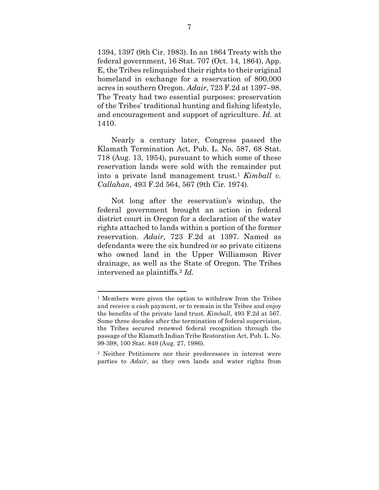1394, 1397 (9th Cir. 1983). In an 1864 Treaty with the federal government, 16 Stat. 707 (Oct. 14, 1864), App. E, the Tribes relinquished their rights to their original homeland in exchange for a reservation of 800,000 acres in southern Oregon. *Adair*, 723 F.2d at 1397–98. The Treaty had two essential purposes: preservation of the Tribes' traditional hunting and fishing lifestyle, and encouragement and support of agriculture. *Id.* at 1410.

 Nearly a century later, Congress passed the Klamath Termination Act, Pub. L. No. 587, 68 Stat. 718 (Aug. 13, 1954), pursuant to which some of these reservation lands were sold with the remainder put into a private land management trust.<sup>1</sup> *Kimball v. Callahan*, 493 F.2d 564, 567 (9th Cir. 1974).

 Not long after the reservation's windup, the federal government brought an action in federal district court in Oregon for a declaration of the water rights attached to lands within a portion of the former reservation. *Adair*, 723 F.2d at 1397. Named as defendants were the six hundred or so private citizens who owned land in the Upper Williamson River drainage, as well as the State of Oregon. The Tribes intervened as plaintiffs.<sup>2</sup> *Id.* 

<sup>1</sup> Members were given the option to withdraw from the Tribes and receive a cash payment, or to remain in the Tribes and enjoy the benefits of the private land trust. *Kimball*, 493 F.2d at 567. Some three decades after the termination of federal supervision, the Tribes secured renewed federal recognition through the passage of the Klamath Indian Tribe Restoration Act, Pub. L. No. 99-398, 100 Stat. 849 (Aug. 27, 1986).

<sup>2</sup> Neither Petitioners nor their predecessors in interest were parties to *Adair*, as they own lands and water rights from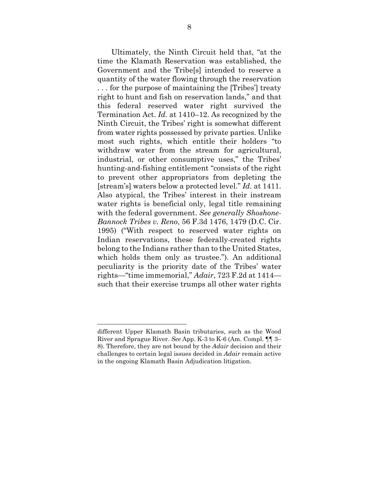Ultimately, the Ninth Circuit held that, "at the time the Klamath Reservation was established, the Government and the Tribe[s] intended to reserve a quantity of the water flowing through the reservation . . . for the purpose of maintaining the [Tribes'] treaty right to hunt and fish on reservation lands," and that this federal reserved water right survived the Termination Act. *Id.* at 1410–12. As recognized by the Ninth Circuit, the Tribes' right is somewhat different from water rights possessed by private parties. Unlike most such rights, which entitle their holders "to withdraw water from the stream for agricultural, industrial, or other consumptive uses," the Tribes' hunting-and-fishing entitlement "consists of the right to prevent other appropriators from depleting the [stream's] waters below a protected level." *Id.* at 1411. Also atypical, the Tribes' interest in their instream water rights is beneficial only, legal title remaining with the federal government. *See generally Shoshone-Bannock Tribes v. Reno*, 56 F.3d 1476, 1479 (D.C. Cir. 1995) ("With respect to reserved water rights on Indian reservations, these federally-created rights belong to the Indians rather than to the United States, which holds them only as trustee."). An additional peculiarity is the priority date of the Tribes' water rights—"time immemorial," *Adair*, 723 F.2d at 1414 such that their exercise trumps all other water rights

different Upper Klamath Basin tributaries, such as the Wood River and Sprague River. *See* App. K-3 to K-6 (Am. Compl. ¶¶ 3– 8). Therefore, they are not bound by the *Adair* decision and their challenges to certain legal issues decided in *Adair* remain active in the ongoing Klamath Basin Adjudication litigation.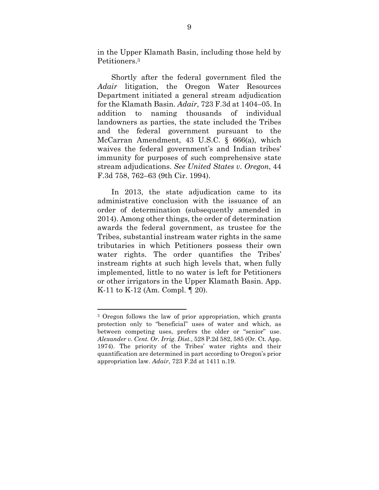in the Upper Klamath Basin, including those held by Petitioners.<sup>3</sup>

 Shortly after the federal government filed the *Adair* litigation, the Oregon Water Resources Department initiated a general stream adjudication for the Klamath Basin. *Adair*, 723 F.3d at 1404–05. In addition to naming thousands of individual landowners as parties, the state included the Tribes and the federal government pursuant to the McCarran Amendment, 43 U.S.C. § 666(a), which waives the federal government's and Indian tribes' immunity for purposes of such comprehensive state stream adjudications. *See United States v. Oregon*, 44 F.3d 758, 762–63 (9th Cir. 1994).

 In 2013, the state adjudication came to its administrative conclusion with the issuance of an order of determination (subsequently amended in 2014). Among other things, the order of determination awards the federal government, as trustee for the Tribes, substantial instream water rights in the same tributaries in which Petitioners possess their own water rights. The order quantifies the Tribes' instream rights at such high levels that, when fully implemented, little to no water is left for Petitioners or other irrigators in the Upper Klamath Basin. App. K-11 to K-12 (Am. Compl. ¶ 20).

<sup>3</sup> Oregon follows the law of prior appropriation, which grants protection only to "beneficial" uses of water and which, as between competing uses, prefers the older or "senior" use. *Alexander v. Cent. Or. Irrig. Dist.*, 528 P.2d 582, 585 (Or. Ct. App. 1974). The priority of the Tribes' water rights and their quantification are determined in part according to Oregon's prior appropriation law. *Adair*, 723 F.2d at 1411 n.19.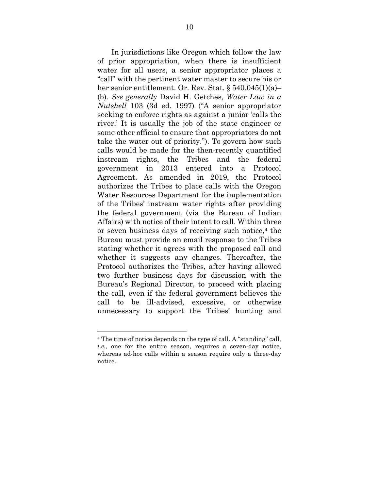In jurisdictions like Oregon which follow the law of prior appropriation, when there is insufficient water for all users, a senior appropriator places a "call" with the pertinent water master to secure his or her senior entitlement. Or. Rev. Stat. § 540.045(1)(a)– (b). *See generally* David H. Getches, *Water Law in a Nutshell* 103 (3d ed. 1997) ("A senior appropriator seeking to enforce rights as against a junior 'calls the river.' It is usually the job of the state engineer or some other official to ensure that appropriators do not take the water out of priority."). To govern how such calls would be made for the then-recently quantified instream rights, the Tribes and the federal government in 2013 entered into a Protocol Agreement. As amended in 2019, the Protocol authorizes the Tribes to place calls with the Oregon Water Resources Department for the implementation of the Tribes' instream water rights after providing the federal government (via the Bureau of Indian Affairs) with notice of their intent to call. Within three or seven business days of receiving such notice, $4$  the Bureau must provide an email response to the Tribes stating whether it agrees with the proposed call and whether it suggests any changes. Thereafter, the Protocol authorizes the Tribes, after having allowed two further business days for discussion with the Bureau's Regional Director, to proceed with placing the call, even if the federal government believes the call to be ill-advised, excessive, or otherwise unnecessary to support the Tribes' hunting and

<sup>4</sup> The time of notice depends on the type of call. A "standing" call, *i.e.*, one for the entire season, requires a seven-day notice, whereas ad-hoc calls within a season require only a three-day notice.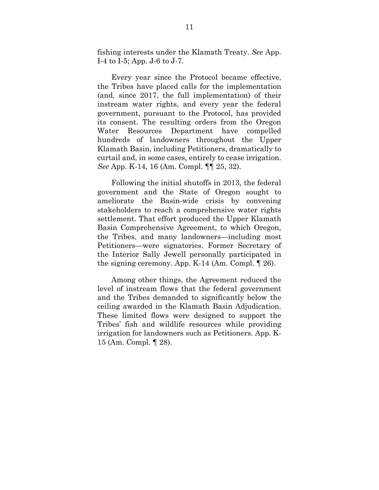fishing interests under the Klamath Treaty. *See* App. I-4 to I-5; App. J-6 to J-7.

 Every year since the Protocol became effective, the Tribes have placed calls for the implementation (and, since 2017, the full implementation) of their instream water rights, and every year the federal government, pursuant to the Protocol, has provided its consent. The resulting orders from the Oregon Water Resources Department have compelled hundreds of landowners throughout the Upper Klamath Basin, including Petitioners, dramatically to curtail and, in some cases, entirely to cease irrigation. *See* App. K-14, 16 (Am. Compl. ¶¶ 25, 32).

 Following the initial shutoffs in 2013, the federal government and the State of Oregon sought to ameliorate the Basin-wide crisis by convening stakeholders to reach a comprehensive water rights settlement. That effort produced the Upper Klamath Basin Comprehensive Agreement, to which Oregon, the Tribes, and many landowners—including most Petitioners—were signatories. Former Secretary of the Interior Sally Jewell personally participated in the signing ceremony. App. K-14 (Am. Compl. ¶ 26).

 Among other things, the Agreement reduced the level of instream flows that the federal government and the Tribes demanded to significantly below the ceiling awarded in the Klamath Basin Adjudication. These limited flows were designed to support the Tribes' fish and wildlife resources while providing irrigation for landowners such as Petitioners. App. K-15 (Am. Compl. ¶ 28).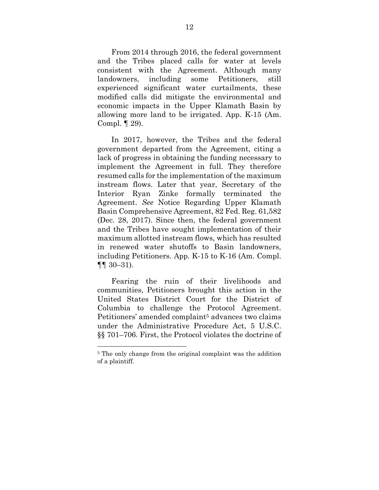From 2014 through 2016, the federal government and the Tribes placed calls for water at levels consistent with the Agreement. Although many landowners, including some Petitioners, still experienced significant water curtailments, these modified calls did mitigate the environmental and economic impacts in the Upper Klamath Basin by allowing more land to be irrigated. App. K-15 (Am. Compl. ¶ 29).

 In 2017, however, the Tribes and the federal government departed from the Agreement, citing a lack of progress in obtaining the funding necessary to implement the Agreement in full. They therefore resumed calls for the implementation of the maximum instream flows. Later that year, Secretary of the Interior Ryan Zinke formally terminated the Agreement. *See* Notice Regarding Upper Klamath Basin Comprehensive Agreement, 82 Fed. Reg. 61,582 (Dec. 28, 2017). Since then, the federal government and the Tribes have sought implementation of their maximum allotted instream flows, which has resulted in renewed water shutoffs to Basin landowners, including Petitioners. App. K-15 to K-16 (Am. Compl. ¶¶ 30–31).

 Fearing the ruin of their livelihoods and communities, Petitioners brought this action in the United States District Court for the District of Columbia to challenge the Protocol Agreement. Petitioners' amended complaint<sup>5</sup> advances two claims under the Administrative Procedure Act, 5 U.S.C. §§ 701–706. First, the Protocol violates the doctrine of

<sup>&</sup>lt;sup>5</sup> The only change from the original complaint was the addition of a plaintiff.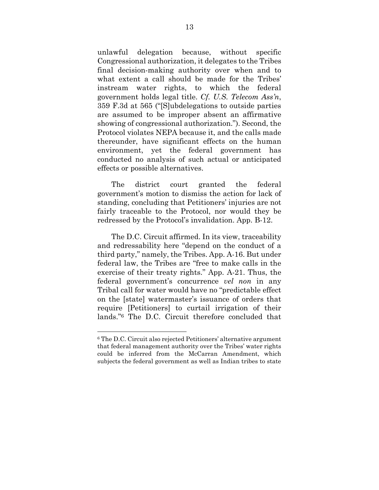unlawful delegation because, without specific Congressional authorization, it delegates to the Tribes final decision-making authority over when and to what extent a call should be made for the Tribes' instream water rights, to which the federal government holds legal title. *Cf. U.S. Telecom Ass'n*, 359 F.3d at 565 ("[S]ubdelegations to outside parties are assumed to be improper absent an affirmative showing of congressional authorization."). Second, the Protocol violates NEPA because it, and the calls made thereunder, have significant effects on the human environment, yet the federal government has conducted no analysis of such actual or anticipated effects or possible alternatives.

 The district court granted the federal government's motion to dismiss the action for lack of standing, concluding that Petitioners' injuries are not fairly traceable to the Protocol, nor would they be redressed by the Protocol's invalidation. App. B-12.

 The D.C. Circuit affirmed. In its view, traceability and redressability here "depend on the conduct of a third party," namely, the Tribes. App. A-16. But under federal law, the Tribes are "free to make calls in the exercise of their treaty rights." App. A-21. Thus, the federal government's concurrence *vel non* in any Tribal call for water would have no "predictable effect on the [state] watermaster's issuance of orders that require [Petitioners] to curtail irrigation of their lands."6 The D.C. Circuit therefore concluded that

<sup>6</sup> The D.C. Circuit also rejected Petitioners' alternative argument that federal management authority over the Tribes' water rights could be inferred from the McCarran Amendment, which subjects the federal government as well as Indian tribes to state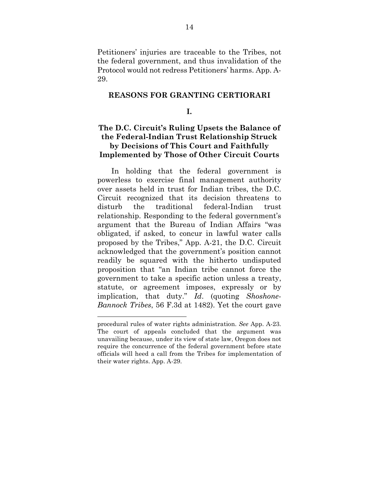Petitioners' injuries are traceable to the Tribes, not the federal government, and thus invalidation of the Protocol would not redress Petitioners' harms. App. A-29.

#### **REASONS FOR GRANTING CERTIORARI**

#### **I.**

## **The D.C. Circuit's Ruling Upsets the Balance of the Federal-Indian Trust Relationship Struck by Decisions of This Court and Faithfully Implemented by Those of Other Circuit Courts**

 In holding that the federal government is powerless to exercise final management authority over assets held in trust for Indian tribes, the D.C. Circuit recognized that its decision threatens to disturb the traditional federal-Indian trust relationship. Responding to the federal government's argument that the Bureau of Indian Affairs "was obligated, if asked, to concur in lawful water calls proposed by the Tribes," App. A-21, the D.C. Circuit acknowledged that the government's position cannot readily be squared with the hitherto undisputed proposition that "an Indian tribe cannot force the government to take a specific action unless a treaty, statute, or agreement imposes, expressly or by implication, that duty." *Id*. (quoting *Shoshone-Bannock Tribes*, 56 F.3d at 1482). Yet the court gave

procedural rules of water rights administration. *See* App. A-23. The court of appeals concluded that the argument was unavailing because, under its view of state law, Oregon does not require the concurrence of the federal government before state officials will heed a call from the Tribes for implementation of their water rights. App. A-29.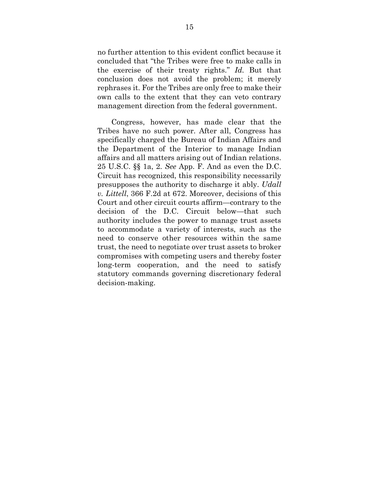no further attention to this evident conflict because it concluded that "the Tribes were free to make calls in the exercise of their treaty rights." *Id.* But that conclusion does not avoid the problem; it merely rephrases it. For the Tribes are only free to make their own calls to the extent that they can veto contrary management direction from the federal government.

 Congress, however, has made clear that the Tribes have no such power. After all, Congress has specifically charged the Bureau of Indian Affairs and the Department of the Interior to manage Indian affairs and all matters arising out of Indian relations. 25 U.S.C. §§ 1a, 2. *See* App. F. And as even the D.C. Circuit has recognized, this responsibility necessarily presupposes the authority to discharge it ably. *Udall v. Littell*, 366 F.2d at 672. Moreover, decisions of this Court and other circuit courts affirm—contrary to the decision of the D.C. Circuit below—that such authority includes the power to manage trust assets to accommodate a variety of interests, such as the need to conserve other resources within the same trust, the need to negotiate over trust assets to broker compromises with competing users and thereby foster long-term cooperation, and the need to satisfy statutory commands governing discretionary federal decision-making.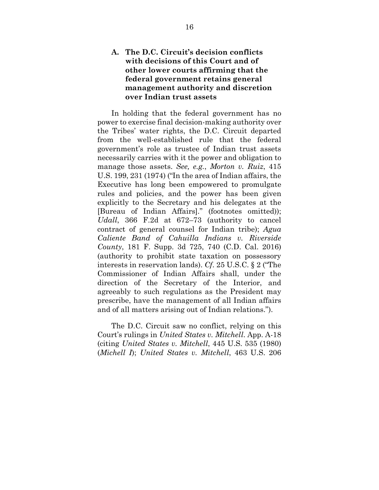## **A. The D.C. Circuit's decision conflicts with decisions of this Court and of other lower courts affirming that the federal government retains general management authority and discretion over Indian trust assets**

 In holding that the federal government has no power to exercise final decision-making authority over the Tribes' water rights, the D.C. Circuit departed from the well-established rule that the federal government's role as trustee of Indian trust assets necessarily carries with it the power and obligation to manage those assets. *See, e.g.*, *Morton v. Ruiz*, 415 U.S. 199, 231 (1974) ("In the area of Indian affairs, the Executive has long been empowered to promulgate rules and policies, and the power has been given explicitly to the Secretary and his delegates at the [Bureau of Indian Affairs]." (footnotes omitted)); *Udall*, 366 F.2d at 672–73 (authority to cancel contract of general counsel for Indian tribe); *Agua Caliente Band of Cahuilla Indians v. Riverside County*, 181 F. Supp. 3d 725, 740 (C.D. Cal. 2016) (authority to prohibit state taxation on possessory interests in reservation lands). *Cf*. 25 U.S.C. § 2 ("The Commissioner of Indian Affairs shall, under the direction of the Secretary of the Interior, and agreeably to such regulations as the President may prescribe, have the management of all Indian affairs and of all matters arising out of Indian relations.").

 The D.C. Circuit saw no conflict, relying on this Court's rulings in *United States v. Mitchell*. App. A-18 (citing *United States v. Mitchell*, 445 U.S. 535 (1980) (*Michell I*); *United States v. Mitchell*, 463 U.S. 206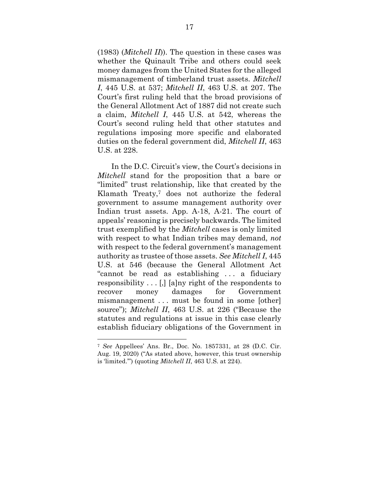(1983) (*Mitchell II*)). The question in these cases was whether the Quinault Tribe and others could seek money damages from the United States for the alleged mismanagement of timberland trust assets. *Mitchell I*, 445 U.S. at 537; *Mitchell II*, 463 U.S. at 207. The Court's first ruling held that the broad provisions of the General Allotment Act of 1887 did not create such a claim, *Mitchell I*, 445 U.S. at 542, whereas the Court's second ruling held that other statutes and regulations imposing more specific and elaborated duties on the federal government did, *Mitchell II*, 463 U.S. at 228.

 In the D.C. Circuit's view, the Court's decisions in *Mitchell* stand for the proposition that a bare or "limited" trust relationship, like that created by the Klamath Treaty,7 does not authorize the federal government to assume management authority over Indian trust assets. App. A-18, A-21. The court of appeals' reasoning is precisely backwards. The limited trust exemplified by the *Mitchell* cases is only limited with respect to what Indian tribes may demand, *not* with respect to the federal government's management authority as trustee of those assets. *See Mitchell I*, 445 U.S. at 546 (because the General Allotment Act "cannot be read as establishing . . . a fiduciary responsibility . . . [,] [a]ny right of the respondents to recover money damages for Government mismanagement . . . must be found in some [other] source"); *Mitchell II*, 463 U.S. at 226 ("Because the statutes and regulations at issue in this case clearly establish fiduciary obligations of the Government in

<sup>7</sup> *See* Appellees' Ans. Br., Doc. No. 1857331, at 28 (D.C. Cir. Aug. 19, 2020) ("As stated above, however, this trust ownership is 'limited.'") (quoting *Mitchell II*, 463 U.S. at 224).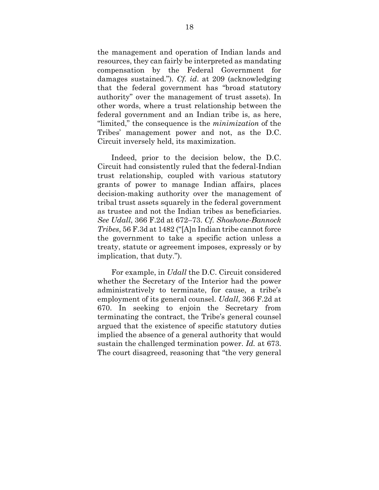the management and operation of Indian lands and resources, they can fairly be interpreted as mandating compensation by the Federal Government for damages sustained."). *Cf. id*. at 209 (acknowledging that the federal government has "broad statutory authority" over the management of trust assets). In other words, where a trust relationship between the federal government and an Indian tribe is, as here, "limited," the consequence is the *minimization* of the Tribes' management power and not, as the D.C. Circuit inversely held, its maximization.

 Indeed, prior to the decision below, the D.C. Circuit had consistently ruled that the federal-Indian trust relationship, coupled with various statutory grants of power to manage Indian affairs, places decision-making authority over the management of tribal trust assets squarely in the federal government as trustee and not the Indian tribes as beneficiaries. *See Udall*, 366 F.2d at 672–73. *Cf. Shoshone-Bannock Tribes*, 56 F.3d at 1482 ("[A]n Indian tribe cannot force the government to take a specific action unless a treaty, statute or agreement imposes, expressly or by implication, that duty.").

 For example, in *Udall* the D.C. Circuit considered whether the Secretary of the Interior had the power administratively to terminate, for cause, a tribe's employment of its general counsel. *Udall*, 366 F.2d at 670. In seeking to enjoin the Secretary from terminating the contract, the Tribe's general counsel argued that the existence of specific statutory duties implied the absence of a general authority that would sustain the challenged termination power. *Id.* at 673. The court disagreed, reasoning that "the very general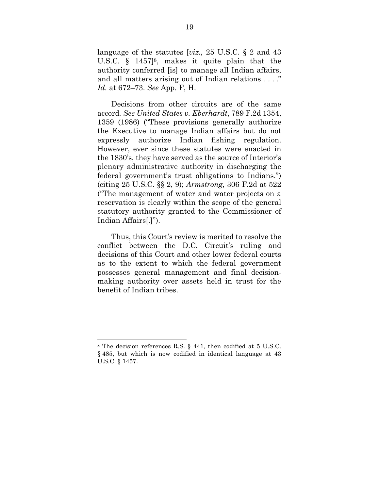language of the statutes [*viz.,* 25 U.S.C. § 2 and 43 U.S.C. § 1457]8, makes it quite plain that the authority conferred [is] to manage all Indian affairs, and all matters arising out of Indian relations . . . ." *Id.* at 672–73. *See* App. F, H.

 Decisions from other circuits are of the same accord*. See United States v. Eberhardt*, 789 F.2d 1354, 1359 (1986) ("These provisions generally authorize the Executive to manage Indian affairs but do not expressly authorize Indian fishing regulation. However, ever since these statutes were enacted in the 1830's, they have served as the source of Interior's plenary administrative authority in discharging the federal government's trust obligations to Indians.") (citing 25 U.S.C. §§ 2, 9); *Armstrong*, 306 F.2d at 522 ("The management of water and water projects on a reservation is clearly within the scope of the general statutory authority granted to the Commissioner of Indian Affairs[.]").

 Thus, this Court's review is merited to resolve the conflict between the D.C. Circuit's ruling and decisions of this Court and other lower federal courts as to the extent to which the federal government possesses general management and final decisionmaking authority over assets held in trust for the benefit of Indian tribes.

<sup>8</sup> The decision references R.S. § 441, then codified at 5 U.S.C. § 485, but which is now codified in identical language at 43 U.S.C. § 1457.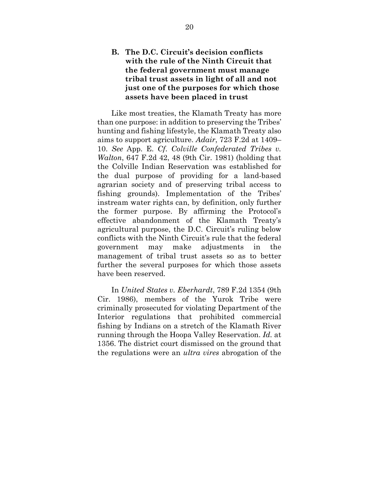## **B. The D.C. Circuit's decision conflicts with the rule of the Ninth Circuit that the federal government must manage tribal trust assets in light of all and not just one of the purposes for which those assets have been placed in trust**

 Like most treaties, the Klamath Treaty has more than one purpose: in addition to preserving the Tribes' hunting and fishing lifestyle, the Klamath Treaty also aims to support agriculture. *Adair*, 723 F.2d at 1409– 10. *See* App. E. *Cf*. *Colville Confederated Tribes v. Walton*, 647 F.2d 42, 48 (9th Cir. 1981) (holding that the Colville Indian Reservation was established for the dual purpose of providing for a land-based agrarian society and of preserving tribal access to fishing grounds). Implementation of the Tribes' instream water rights can, by definition, only further the former purpose. By affirming the Protocol's effective abandonment of the Klamath Treaty's agricultural purpose, the D.C. Circuit's ruling below conflicts with the Ninth Circuit's rule that the federal government may make adjustments in the management of tribal trust assets so as to better further the several purposes for which those assets have been reserved.

 In *United States v. Eberhardt*, 789 F.2d 1354 (9th Cir. 1986), members of the Yurok Tribe were criminally prosecuted for violating Department of the Interior regulations that prohibited commercial fishing by Indians on a stretch of the Klamath River running through the Hoopa Valley Reservation. *Id.* at 1356. The district court dismissed on the ground that the regulations were an *ultra vires* abrogation of the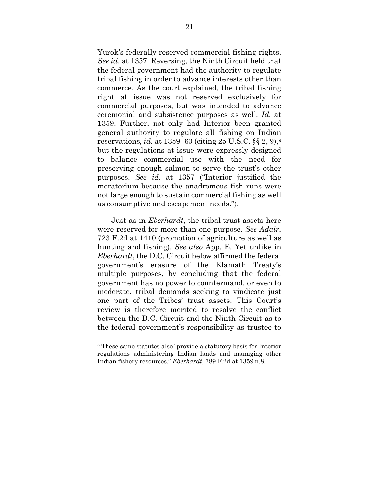Yurok's federally reserved commercial fishing rights. *See id*. at 1357. Reversing, the Ninth Circuit held that the federal government had the authority to regulate tribal fishing in order to advance interests other than commerce. As the court explained, the tribal fishing right at issue was not reserved exclusively for commercial purposes, but was intended to advance ceremonial and subsistence purposes as well. *Id.* at 1359. Further, not only had Interior been granted general authority to regulate all fishing on Indian reservations, *id.* at 1359–60 (citing 25 U.S.C. §§ 2, 9),<sup>9</sup> but the regulations at issue were expressly designed to balance commercial use with the need for preserving enough salmon to serve the trust's other purposes. *See id.* at 1357 ("Interior justified the moratorium because the anadromous fish runs were not large enough to sustain commercial fishing as well as consumptive and escapement needs.").

 Just as in *Eberhardt*, the tribal trust assets here were reserved for more than one purpose. *See Adair*, 723 F.2d at 1410 (promotion of agriculture as well as hunting and fishing). *See also* App. E. Yet unlike in *Eberhardt*, the D.C. Circuit below affirmed the federal government's erasure of the Klamath Treaty's multiple purposes, by concluding that the federal government has no power to countermand, or even to moderate, tribal demands seeking to vindicate just one part of the Tribes' trust assets. This Court's review is therefore merited to resolve the conflict between the D.C. Circuit and the Ninth Circuit as to the federal government's responsibility as trustee to

<sup>9</sup> These same statutes also "provide a statutory basis for Interior regulations administering Indian lands and managing other Indian fishery resources." *Eberhardt*, 789 F.2d at 1359 n.8.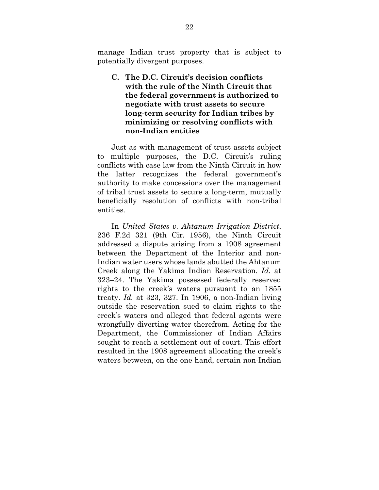manage Indian trust property that is subject to potentially divergent purposes.

## **C. The D.C. Circuit's decision conflicts with the rule of the Ninth Circuit that the federal government is authorized to negotiate with trust assets to secure long-term security for Indian tribes by minimizing or resolving conflicts with non-Indian entities**

 Just as with management of trust assets subject to multiple purposes, the D.C. Circuit's ruling conflicts with case law from the Ninth Circuit in how the latter recognizes the federal government's authority to make concessions over the management of tribal trust assets to secure a long-term, mutually beneficially resolution of conflicts with non-tribal entities.

 In *United States v. Ahtanum Irrigation District*, 236 F.2d 321 (9th Cir. 1956), the Ninth Circuit addressed a dispute arising from a 1908 agreement between the Department of the Interior and non-Indian water users whose lands abutted the Ahtanum Creek along the Yakima Indian Reservation. *Id.* at 323–24. The Yakima possessed federally reserved rights to the creek's waters pursuant to an 1855 treaty. *Id.* at 323, 327. In 1906, a non-Indian living outside the reservation sued to claim rights to the creek's waters and alleged that federal agents were wrongfully diverting water therefrom. Acting for the Department, the Commissioner of Indian Affairs sought to reach a settlement out of court. This effort resulted in the 1908 agreement allocating the creek's waters between, on the one hand, certain non-Indian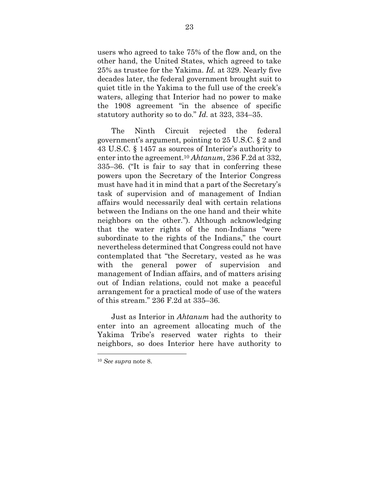users who agreed to take 75% of the flow and, on the other hand, the United States, which agreed to take 25% as trustee for the Yakima. *Id.* at 329. Nearly five decades later, the federal government brought suit to quiet title in the Yakima to the full use of the creek's waters, alleging that Interior had no power to make the 1908 agreement "in the absence of specific statutory authority so to do." *Id.* at 323, 334–35.

 The Ninth Circuit rejected the federal government's argument, pointing to 25 U.S.C. § 2 and 43 U.S.C. § 1457 as sources of Interior's authority to enter into the agreement.<sup>10</sup> *Ahtanum*, 236 F.2d at 332, 335–36. ("It is fair to say that in conferring these powers upon the Secretary of the Interior Congress must have had it in mind that a part of the Secretary's task of supervision and of management of Indian affairs would necessarily deal with certain relations between the Indians on the one hand and their white neighbors on the other."). Although acknowledging that the water rights of the non-Indians "were subordinate to the rights of the Indians," the court nevertheless determined that Congress could not have contemplated that "the Secretary, vested as he was with the general power of supervision and management of Indian affairs, and of matters arising out of Indian relations, could not make a peaceful arrangement for a practical mode of use of the waters of this stream." 236 F.2d at 335–36.

 Just as Interior in *Ahtanum* had the authority to enter into an agreement allocating much of the Yakima Tribe's reserved water rights to their neighbors, so does Interior here have authority to

<sup>10</sup> *See supra* note 8.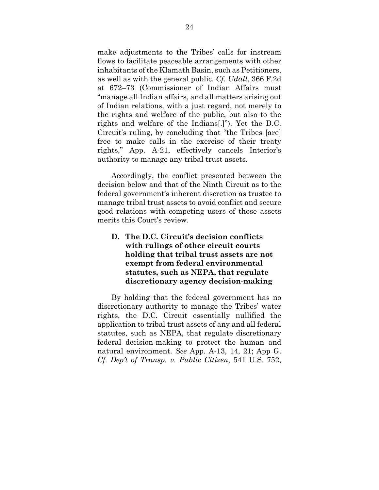make adjustments to the Tribes' calls for instream flows to facilitate peaceable arrangements with other inhabitants of the Klamath Basin, such as Petitioners, as well as with the general public. *Cf. Udall*, 366 F.2d at 672–73 (Commissioner of Indian Affairs must "manage all Indian affairs, and all matters arising out of Indian relations, with a just regard, not merely to the rights and welfare of the public, but also to the rights and welfare of the Indians[.]"). Yet the D.C. Circuit's ruling, by concluding that "the Tribes [are] free to make calls in the exercise of their treaty rights," App. A-21, effectively cancels Interior's authority to manage any tribal trust assets.

 Accordingly, the conflict presented between the decision below and that of the Ninth Circuit as to the federal government's inherent discretion as trustee to manage tribal trust assets to avoid conflict and secure good relations with competing users of those assets merits this Court's review.

## **D. The D.C. Circuit's decision conflicts with rulings of other circuit courts holding that tribal trust assets are not exempt from federal environmental statutes, such as NEPA, that regulate discretionary agency decision-making**

 By holding that the federal government has no discretionary authority to manage the Tribes' water rights, the D.C. Circuit essentially nullified the application to tribal trust assets of any and all federal statutes, such as NEPA, that regulate discretionary federal decision-making to protect the human and natural environment. *See* App. A-13, 14, 21; App G. *Cf. Dep't of Transp. v. Public Citizen*, 541 U.S. 752,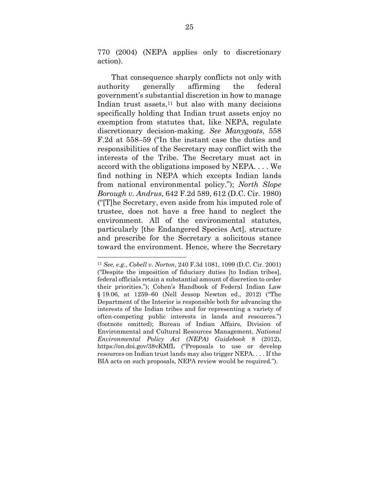770 (2004) (NEPA applies only to discretionary action).

 That consequence sharply conflicts not only with authority generally affirming the federal government's substantial discretion in how to manage Indian trust assets, $11$  but also with many decisions specifically holding that Indian trust assets enjoy no exemption from statutes that, like NEPA, regulate discretionary decision-making*. See Manygoats*, 558 F.2d at 558–59 ("In the instant case the duties and responsibilities of the Secretary may conflict with the interests of the Tribe. The Secretary must act in accord with the obligations imposed by NEPA. . . . We find nothing in NEPA which excepts Indian lands from national environmental policy."); *North Slope Borough v. Andrus*, 642 F.2d 589, 612 (D.C. Cir. 1980) ("[T]he Secretary, even aside from his imputed role of trustee, does not have a free hand to neglect the environment. All of the environmental statutes, particularly [the Endangered Species Act], structure and prescribe for the Secretary a solicitous stance toward the environment. Hence, where the Secretary

<sup>11</sup> *See, e.g.*, *Cobell v. Norton*, 240 F.3d 1081, 1099 (D.C. Cir. 2001) ("Despite the imposition of fiduciary duties [to Indian tribes], federal officials retain a substantial amount of discretion to order their priorities."); Cohen's Handbook of Federal Indian Law § 19.06, at 1259–60 (Nell Jessop Newton ed., 2012) ("The Department of the Interior is responsible both for advancing the interests of the Indian tribes and for representing a variety of often-competing public interests in lands and resources.") (footnote omitted); Bureau of Indian Affairs, Division of Environmental and Cultural Resources Management, *National Environmental Policy Act (NEPA) Guidebook* 8 (2012), https://on.doi.gov/38vKMfL ("Proposals to use or develop resources on Indian trust lands may also trigger NEPA. . . . If the BIA acts on such proposals, NEPA review would be required.").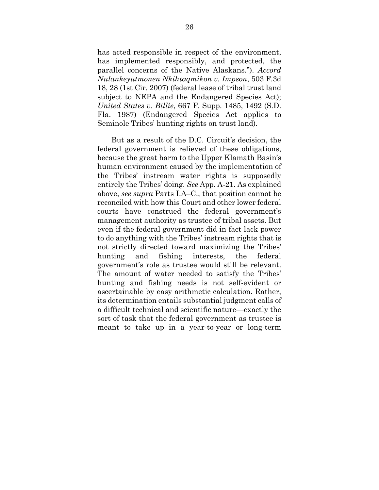has acted responsible in respect of the environment, has implemented responsibly, and protected, the parallel concerns of the Native Alaskans."). *Accord Nulankeyutmonen Nkihtaqmikon v. Impson*, 503 F.3d 18, 28 (1st Cir. 2007) (federal lease of tribal trust land subject to NEPA and the Endangered Species Act); *United States v. Billie*, 667 F. Supp. 1485, 1492 (S.D. Fla. 1987) (Endangered Species Act applies to Seminole Tribes' hunting rights on trust land).

 But as a result of the D.C. Circuit's decision, the federal government is relieved of these obligations, because the great harm to the Upper Klamath Basin's human environment caused by the implementation of the Tribes' instream water rights is supposedly entirely the Tribes' doing. *See* App. A-21. As explained above, *see supra* Parts I.A–C., that position cannot be reconciled with how this Court and other lower federal courts have construed the federal government's management authority as trustee of tribal assets. But even if the federal government did in fact lack power to do anything with the Tribes' instream rights that is not strictly directed toward maximizing the Tribes' hunting and fishing interests, the federal government's role as trustee would still be relevant. The amount of water needed to satisfy the Tribes' hunting and fishing needs is not self-evident or ascertainable by easy arithmetic calculation. Rather, its determination entails substantial judgment calls of a difficult technical and scientific nature—exactly the sort of task that the federal government as trustee is meant to take up in a year-to-year or long-term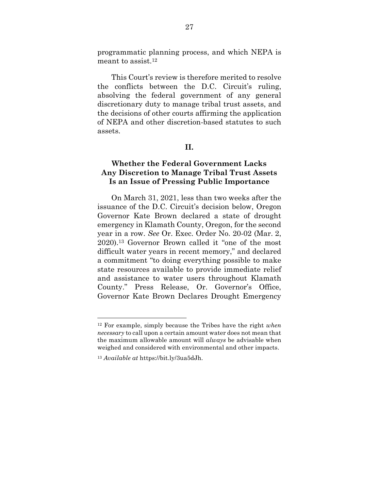programmatic planning process, and which NEPA is meant to assist.<sup>12</sup>

 This Court's review is therefore merited to resolve the conflicts between the D.C. Circuit's ruling, absolving the federal government of any general discretionary duty to manage tribal trust assets, and the decisions of other courts affirming the application of NEPA and other discretion-based statutes to such assets.

### **II.**

## **Whether the Federal Government Lacks Any Discretion to Manage Tribal Trust Assets Is an Issue of Pressing Public Importance**

 On March 31, 2021, less than two weeks after the issuance of the D.C. Circuit's decision below, Oregon Governor Kate Brown declared a state of drought emergency in Klamath County, Oregon, for the second year in a row. *See* Or. Exec. Order No. 20-02 (Mar. 2, 2020).13 Governor Brown called it "one of the most difficult water years in recent memory," and declared a commitment "to doing everything possible to make state resources available to provide immediate relief and assistance to water users throughout Klamath County." Press Release, Or. Governor's Office, Governor Kate Brown Declares Drought Emergency

<sup>12</sup> For example, simply because the Tribes have the right *when necessary* to call upon a certain amount water does not mean that the maximum allowable amount will *always* be advisable when weighed and considered with environmental and other impacts.

<sup>13</sup> *Available at* https://bit.ly/3ua5dJh.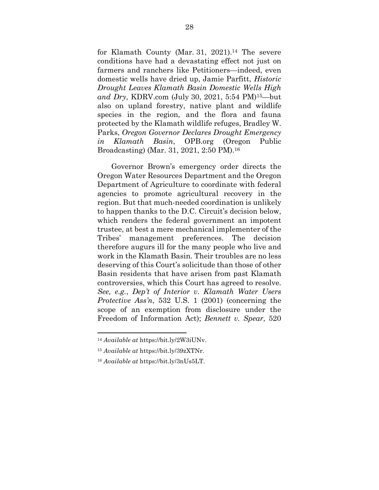for Klamath County (Mar. 31, 2021).<sup>14</sup> The severe conditions have had a devastating effect not just on farmers and ranchers like Petitioners—indeed, even domestic wells have dried up, Jamie Parfitt, *Historic Drought Leaves Klamath Basin Domestic Wells High and Dry*, KDRV.com (July 30, 2021, 5:54 PM)15—but also on upland forestry, native plant and wildlife species in the region, and the flora and fauna protected by the Klamath wildlife refuges, Bradley W. Parks, *Oregon Governor Declares Drought Emergency in Klamath Basin*, OPB.org (Oregon Public Broadcasting) (Mar. 31, 2021, 2:50 PM).<sup>16</sup>

 Governor Brown's emergency order directs the Oregon Water Resources Department and the Oregon Department of Agriculture to coordinate with federal agencies to promote agricultural recovery in the region. But that much-needed coordination is unlikely to happen thanks to the D.C. Circuit's decision below, which renders the federal government an impotent trustee, at best a mere mechanical implementer of the Tribes' management preferences. The decision therefore augurs ill for the many people who live and work in the Klamath Basin. Their troubles are no less deserving of this Court's solicitude than those of other Basin residents that have arisen from past Klamath controversies, which this Court has agreed to resolve. *See, e.g.*, *Dep't of Interior v. Klamath Water Users Protective Ass'n,* 532 U.S. 1 (2001) (concerning the scope of an exemption from disclosure under the Freedom of Information Act); *Bennett v. Spear*, 520

<sup>14</sup> *Available at* https://bit.ly/2W3iUNv.

<sup>15</sup> *Available at* https://bit.ly/39zXTNr.

<sup>16</sup> *Available at* https://bit.ly/3nUs5LT.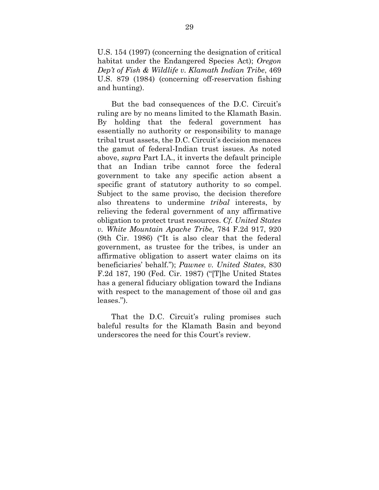U.S. 154 (1997) (concerning the designation of critical habitat under the Endangered Species Act); *Oregon Dep't of Fish & Wildlife v. Klamath Indian Tribe*, 469 U.S. 879 (1984) (concerning off-reservation fishing and hunting).

 But the bad consequences of the D.C. Circuit's ruling are by no means limited to the Klamath Basin. By holding that the federal government has essentially no authority or responsibility to manage tribal trust assets, the D.C. Circuit's decision menaces the gamut of federal-Indian trust issues. As noted above, *supra* Part I.A., it inverts the default principle that an Indian tribe cannot force the federal government to take any specific action absent a specific grant of statutory authority to so compel. Subject to the same proviso, the decision therefore also threatens to undermine *tribal* interests, by relieving the federal government of any affirmative obligation to protect trust resources. *Cf. United States v. White Mountain Apache Tribe*, 784 F.2d 917, 920 (9th Cir. 1986) ("It is also clear that the federal government, as trustee for the tribes, is under an affirmative obligation to assert water claims on its beneficiaries' behalf."); *Pawnee v. United States*, 830 F.2d 187, 190 (Fed. Cir. 1987) ("[T]he United States has a general fiduciary obligation toward the Indians with respect to the management of those oil and gas leases.").

That the D.C. Circuit's ruling promises such baleful results for the Klamath Basin and beyond underscores the need for this Court's review.